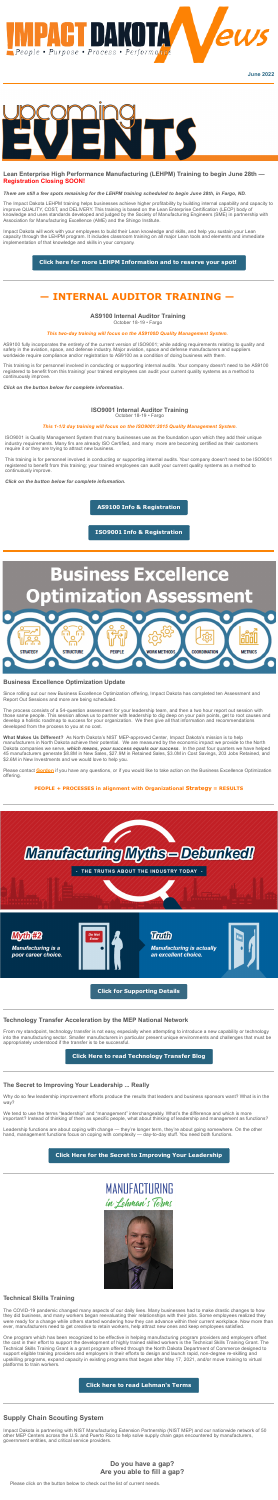



## **Lean Enterprise High Performance Manufacturing (LEHPM) Training to begin June 28th — Registration Closing SOON!**

### There are still a few spots remaining for the LEHPM training scheduled to begin June 28th, in Fargo, ND.

The Impact Dakota LEHPM training helps businesses achieve higher profitability by building internal capability and capacity to improve QUALITY, COST, and DELIVERY. This training is based on the Lean Enterprise Certification (LECP) body of knowledge and uses standards developed and judged by the Society of Manufacturing Engineers (SME) in partnership with Association for Manufacturing Excellence (AME) and the Shingo Institute.

Impact Dakota will work with your employees to build their Lean knowledge and skills, and help you sustain your Lean capacity through the LEHPM program. It includes classroom training on all major Lean tools and elements and immediate implementation of that knowledge and skills in your company.

### **Click here for more LEHPM [Information](https://www.impactdakota.com/events/lean-enterprise-high-performance-manufacturing-training-online-3/) and to reserve your spot!**

## **— INTERNAL AUDITOR TRAINING —**

### **AS9100 Internal Auditor Training**

October 18-19 • Fargo

### *This two-day training will focus on the AS9100D Quality Management System.*

AS9100 fully incorporates the entirety of the current version of ISO9001; while adding requirements relating to quality and safety in the aviation, space, and defense industry. Major aviation, space and defense manufacturers and suppliers worldwide require compliance and/or registration to AS9100 as a condition of doing business with them.

**What Makes Us Different?** As North Dakota's NIST MEP-approved Center, Impact Dakota's mission is to help manufacturers in North Dakota achieve their potential. We are measured by the economic impact we provide to the North Dakota companies we serve, *which means, your success equals our success*. In the past four quarters we have helped 45 manufacturers generate \$8.8M in New Sales, \$27.9M in Retained Sales, \$3.0M in Cost Savings, 203 Jobs Retained, and \$2.6M in New Investments and we would love to help you.

This training is for personnel involved in conducting or supporting internal audits. Your company doesn't need to be AS9100 registered to benefit from this training/ your trained employees can audit your current quality systems as a method to continuously improve.

*Click on the button below for complete information.*

### **ISO9001 Internal Auditor Training**

October 18-19 • Fargo

#### *This 1-1/2 day training will focus on the ISO9001:2015 Quality Management System*.

ISO9001 is Quality Management System that many businesses use as the foundation upon which they add their unique industry requirements. Many firs are already ISO Certified, and many more are becoming certified as their customers require it or they are trying to attract new business.

This training is for personnel involved in conducting or supporting internal audits. Your company doesn't need to be ISO9001 registered to benefit from this training; your trained employees can audit your current quality systems as a method to continuously improve.

*Click on the button below for complete information.*

**AS9100 Info & [Registration](https://www.impactdakota.com/events/internal-auditor-training-as9100d-3/)**

**ISO9001 Info & [Registration](https://www.impactdakota.com/events/internal-auditor-training-iso90012015-3/)**



### **Business Excellence Optimization Update**

Since rolling out our new Business Excellence Optimization offering, Impact Dakota has completed ten Assessment and Report Out Sessions and more are being scheduled.

The process consists of a 54-question assessment for your leadership team, and then a two hour report out session with those same people. This session allows us to partner with leadership to dig deep on your pain points, get to root causes and develop a holistic roadmap to success for your organization. We then give all that information and recommendations developed from the process to you at no cost.

Please contact **[Gordon](mailto:gordonc@impactdakota.com?subject=BizX%20Assessment)** if you have any questions, or if you would like to take action on the Business Excellence Optimization offering.

**PEOPLE + PROCESSES in alignment with Organizational Strategy = RESULTS**

# Manufacturing Myths-Debunked!

THE TRUTHS ABOUT THE INDUSTRY TODAY



## **Technology Transfer Acceleration by the MEP National Network**

From my standpoint, technology transfer is not easy, especially when attempting to introduce a new capability or technology into the manufacturing sector. Smaller manufacturers in particular present unique environments and challenges that must be appropriately understood if the transfer is to be successful.

**Click Here to read [Technology](https://www.nist.gov/blogs/manufacturing-innovation-blog/technology-transfer-acceleration-mep-national-network) Transfer Blog**

## **The Secret to Improving Your Leadership ... Really**

Why do so few leadership improvement efforts produce the results that leaders and business sponsors want? What is in the way?

We tend to use the terms "leadership" and "management" interchangeably. What's the difference and which is more important? Instead of thinking of them as specific people, what about thinking of leadership and management as functions?

Leadership functions are about coping with change — they're longer term, they're about going somewhere. On the other hand, management functions focus on coping with complexity — day-to-day stuff. You need both functions.

## **Click Here for the Secret to Improving Your [Leadership](https://www.impactdakota.com/blog/secret_to_leadership/)**





## **Technical Skills Training**

The COVID-19 pandemic changed many aspects of our daily lives. Many businesses had to make drastic changes to how they did business, and many workers began reevaluating their relationships with their jobs. Some employees realized they were ready for a change while others started wondering how they can advance within their current workplace. Now more than ever, manufacturers need to get creative to retain workers, help attract new ones and keep employees satisfied.

One program which has been recognized to be effective in helping manufacturing program providers and employers offset the cost in their effort to support the development of highly trained skilled workers is the Technical Skills Training Grant. The Technical Skills Training Grant is a grant program offered through the North Dakota Department of Commerce designed to support eligible training providers and employers in their efforts to design and launch rapid, non-degree re-skilling and upskilling programs, expand capacity in existing programs that began after May 17, 2021, and/or move training to virtual platforms to train workers.

**Click here to read [Lehman's](https://d31hzlhk6di2h5.cloudfront.net/20220621/8b/83/53/a5/dc5c379e7fcac80f74ee12d3/Lehmans_Terms_June_2022.pdf) Terms**

## **Supply Chain Scouting System**

Impact Dakota is partnering with NIST Manufacturing Extension Partnership (NIST MEP) and our nationwide network of 50 other MEP Centers across the U.S. and Puerto Rico to help solve supply chain gaps encountered by manufacturers, government entities, and critical service providers.

## **Do you have a gap? Are you able to fill a gap?**

Please click on the button below to check out the list of current needs.